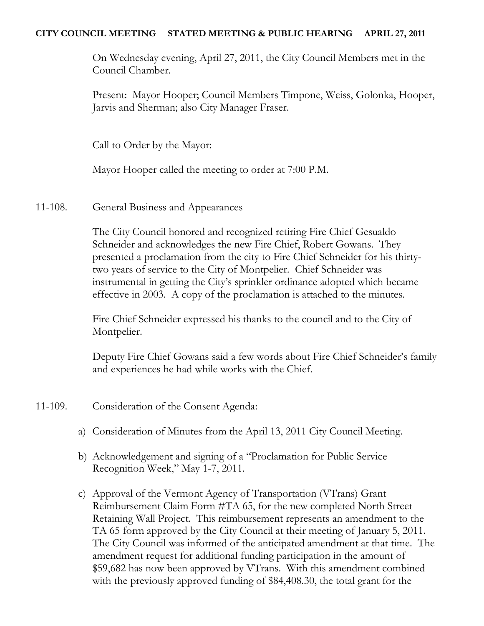#### **CITY COUNCIL MEETING STATED MEETING & PUBLIC HEARING APRIL 27, 2011**

On Wednesday evening, April 27, 2011, the City Council Members met in the Council Chamber.

Present: Mayor Hooper; Council Members Timpone, Weiss, Golonka, Hooper, Jarvis and Sherman; also City Manager Fraser.

Call to Order by the Mayor:

Mayor Hooper called the meeting to order at 7:00 P.M.

11-108. General Business and Appearances

The City Council honored and recognized retiring Fire Chief Gesualdo Schneider and acknowledges the new Fire Chief, Robert Gowans. They presented a proclamation from the city to Fire Chief Schneider for his thirtytwo years of service to the City of Montpelier. Chief Schneider was instrumental in getting the City's sprinkler ordinance adopted which became effective in 2003. A copy of the proclamation is attached to the minutes.

Fire Chief Schneider expressed his thanks to the council and to the City of Montpelier.

Deputy Fire Chief Gowans said a few words about Fire Chief Schneider's family and experiences he had while works with the Chief.

- 11-109. Consideration of the Consent Agenda:
	- a) Consideration of Minutes from the April 13, 2011 City Council Meeting.
	- b) Acknowledgement and signing of a "Proclamation for Public Service Recognition Week," May 1-7, 2011.
	- c) Approval of the Vermont Agency of Transportation (VTrans) Grant Reimbursement Claim Form #TA 65, for the new completed North Street Retaining Wall Project. This reimbursement represents an amendment to the TA 65 form approved by the City Council at their meeting of January 5, 2011. The City Council was informed of the anticipated amendment at that time. The amendment request for additional funding participation in the amount of \$59,682 has now been approved by VTrans. With this amendment combined with the previously approved funding of \$84,408.30, the total grant for the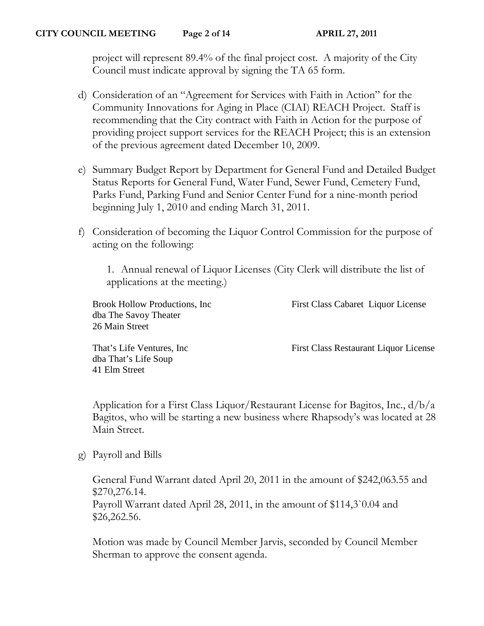project will represent 89.4% of the final project cost. A majority of the City Council must indicate approval by signing the TA 65 form.

- d) Consideration of an "Agreement for Services with Faith in Action" for the Community Innovations for Aging in Place (CIAI) REACH Project. Staff is recommending that the City contract with Faith in Action for the purpose of providing project support services for the REACH Project; this is an extension of the previous agreement dated December 10, 2009.
- e) Summary Budget Report by Department for General Fund and Detailed Budget Status Reports for General Fund, Water Fund, Sewer Fund, Cemetery Fund, Parks Fund, Parking Fund and Senior Center Fund for a nine-month period beginning July 1, 2010 and ending March 31, 2011.
- f) Consideration of becoming the Liquor Control Commission for the purpose of acting on the following:

1. Annual renewal of Liquor Licenses (City Clerk will distribute the list of applications at the meeting.)

dba The Savoy Theater 26 Main Street

dba That's Life Soup

41 Elm Street

Brook Hollow Productions, Inc First Class Cabaret Liquor License

That's Life Ventures, Inc First Class Restaurant Liquor License

Application for a First Class Liquor/Restaurant License for Bagitos, Inc., d/b/a Bagitos, who will be starting a new business where Rhapsody's was located at 28 Main Street.

g) Payroll and Bills

General Fund Warrant dated April 20, 2011 in the amount of \$242,063.55 and \$270,276.14. Payroll Warrant dated April 28, 2011, in the amount of \$114,3`0.04 and \$26,262.56.

Motion was made by Council Member Jarvis, seconded by Council Member Sherman to approve the consent agenda.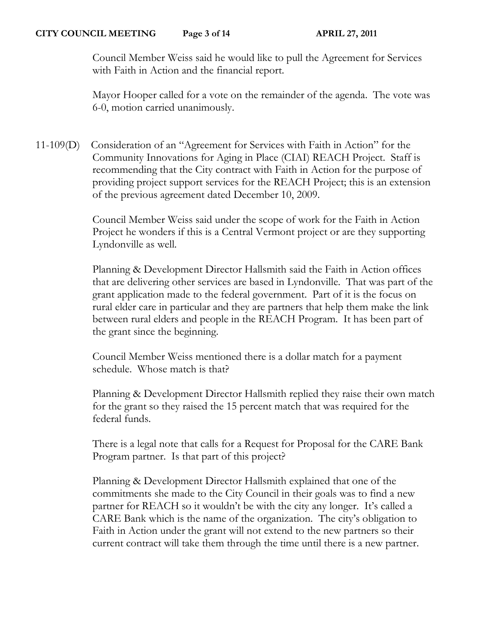Council Member Weiss said he would like to pull the Agreement for Services with Faith in Action and the financial report.

Mayor Hooper called for a vote on the remainder of the agenda. The vote was 6-0, motion carried unanimously.

11-109(D) Consideration of an "Agreement for Services with Faith in Action" for the Community Innovations for Aging in Place (CIAI) REACH Project. Staff is recommending that the City contract with Faith in Action for the purpose of providing project support services for the REACH Project; this is an extension of the previous agreement dated December 10, 2009.

> Council Member Weiss said under the scope of work for the Faith in Action Project he wonders if this is a Central Vermont project or are they supporting Lyndonville as well.

Planning & Development Director Hallsmith said the Faith in Action offices that are delivering other services are based in Lyndonville. That was part of the grant application made to the federal government. Part of it is the focus on rural elder care in particular and they are partners that help them make the link between rural elders and people in the REACH Program. It has been part of the grant since the beginning.

Council Member Weiss mentioned there is a dollar match for a payment schedule. Whose match is that?

Planning & Development Director Hallsmith replied they raise their own match for the grant so they raised the 15 percent match that was required for the federal funds.

There is a legal note that calls for a Request for Proposal for the CARE Bank Program partner. Is that part of this project?

Planning & Development Director Hallsmith explained that one of the commitments she made to the City Council in their goals was to find a new partner for REACH so it wouldn't be with the city any longer. It's called a CARE Bank which is the name of the organization. The city's obligation to Faith in Action under the grant will not extend to the new partners so their current contract will take them through the time until there is a new partner.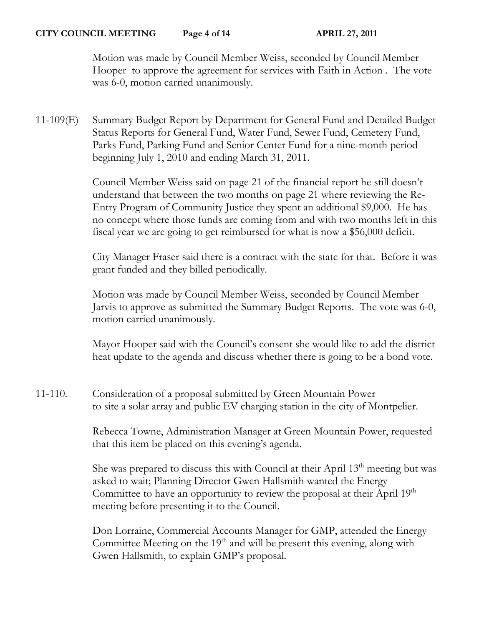Motion was made by Council Member Weiss, seconded by Council Member Hooper to approve the agreement for services with Faith in Action . The vote was 6-0, motion carried unanimously.

11-109(E) Summary Budget Report by Department for General Fund and Detailed Budget Status Reports for General Fund, Water Fund, Sewer Fund, Cemetery Fund, Parks Fund, Parking Fund and Senior Center Fund for a nine-month period beginning July 1, 2010 and ending March 31, 2011.

> Council Member Weiss said on page 21 of the financial report he still doesn't understand that between the two months on page 21 where reviewing the Re-Entry Program of Community Justice they spent an additional \$9,000. He has no concept where those funds are coming from and with two months left in this fiscal year we are going to get reimbursed for what is now a \$56,000 deficit.

> City Manager Fraser said there is a contract with the state for that. Before it was grant funded and they billed periodically.

> Motion was made by Council Member Weiss, seconded by Council Member Jarvis to approve as submitted the Summary Budget Reports. The vote was 6-0, motion carried unanimously.

> Mayor Hooper said with the Council's consent she would like to add the district heat update to the agenda and discuss whether there is going to be a bond vote.

11-110. Consideration of a proposal submitted by Green Mountain Power to site a solar array and public EV charging station in the city of Montpelier.

> Rebecca Towne, Administration Manager at Green Mountain Power, requested that this item be placed on this evening's agenda.

She was prepared to discuss this with Council at their April 13<sup>th</sup> meeting but was asked to wait; Planning Director Gwen Hallsmith wanted the Energy Committee to have an opportunity to review the proposal at their April 19<sup>th</sup> meeting before presenting it to the Council.

Don Lorraine, Commercial Accounts Manager for GMP, attended the Energy Committee Meeting on the  $19<sup>th</sup>$  and will be present this evening, along with Gwen Hallsmith, to explain GMP's proposal.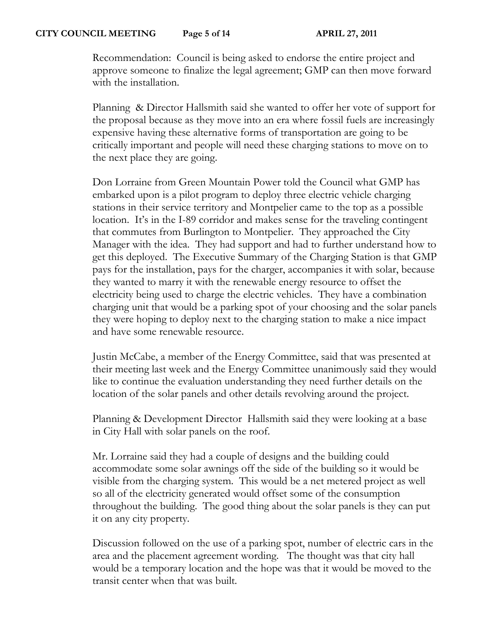Recommendation: Council is being asked to endorse the entire project and approve someone to finalize the legal agreement; GMP can then move forward with the installation.

Planning & Director Hallsmith said she wanted to offer her vote of support for the proposal because as they move into an era where fossil fuels are increasingly expensive having these alternative forms of transportation are going to be critically important and people will need these charging stations to move on to the next place they are going.

Don Lorraine from Green Mountain Power told the Council what GMP has embarked upon is a pilot program to deploy three electric vehicle charging stations in their service territory and Montpelier came to the top as a possible location. It's in the I-89 corridor and makes sense for the traveling contingent that commutes from Burlington to Montpelier. They approached the City Manager with the idea. They had support and had to further understand how to get this deployed. The Executive Summary of the Charging Station is that GMP pays for the installation, pays for the charger, accompanies it with solar, because they wanted to marry it with the renewable energy resource to offset the electricity being used to charge the electric vehicles. They have a combination charging unit that would be a parking spot of your choosing and the solar panels they were hoping to deploy next to the charging station to make a nice impact and have some renewable resource.

Justin McCabe, a member of the Energy Committee, said that was presented at their meeting last week and the Energy Committee unanimously said they would like to continue the evaluation understanding they need further details on the location of the solar panels and other details revolving around the project.

Planning & Development Director Hallsmith said they were looking at a base in City Hall with solar panels on the roof.

Mr. Lorraine said they had a couple of designs and the building could accommodate some solar awnings off the side of the building so it would be visible from the charging system. This would be a net metered project as well so all of the electricity generated would offset some of the consumption throughout the building. The good thing about the solar panels is they can put it on any city property.

Discussion followed on the use of a parking spot, number of electric cars in the area and the placement agreement wording. The thought was that city hall would be a temporary location and the hope was that it would be moved to the transit center when that was built.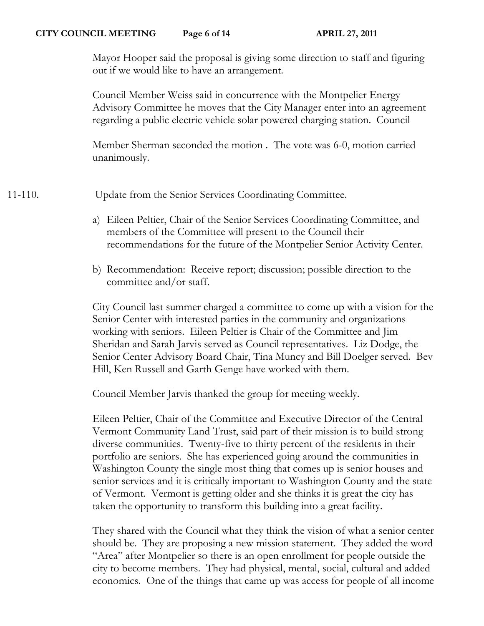Mayor Hooper said the proposal is giving some direction to staff and figuring out if we would like to have an arrangement.

Council Member Weiss said in concurrence with the Montpelier Energy Advisory Committee he moves that the City Manager enter into an agreement regarding a public electric vehicle solar powered charging station. Council

Member Sherman seconded the motion . The vote was 6-0, motion carried unanimously.

11-110. Update from the Senior Services Coordinating Committee.

- a) Eileen Peltier, Chair of the Senior Services Coordinating Committee, and members of the Committee will present to the Council their recommendations for the future of the Montpelier Senior Activity Center.
- b) Recommendation: Receive report; discussion; possible direction to the committee and/or staff.

City Council last summer charged a committee to come up with a vision for the Senior Center with interested parties in the community and organizations working with seniors. Eileen Peltier is Chair of the Committee and Jim Sheridan and Sarah Jarvis served as Council representatives. Liz Dodge, the Senior Center Advisory Board Chair, Tina Muncy and Bill Doelger served. Bev Hill, Ken Russell and Garth Genge have worked with them.

Council Member Jarvis thanked the group for meeting weekly.

Eileen Peltier, Chair of the Committee and Executive Director of the Central Vermont Community Land Trust, said part of their mission is to build strong diverse communities. Twenty-five to thirty percent of the residents in their portfolio are seniors. She has experienced going around the communities in Washington County the single most thing that comes up is senior houses and senior services and it is critically important to Washington County and the state of Vermont. Vermont is getting older and she thinks it is great the city has taken the opportunity to transform this building into a great facility.

They shared with the Council what they think the vision of what a senior center should be. They are proposing a new mission statement. They added the word "Area" after Montpelier so there is an open enrollment for people outside the city to become members. They had physical, mental, social, cultural and added economics. One of the things that came up was access for people of all income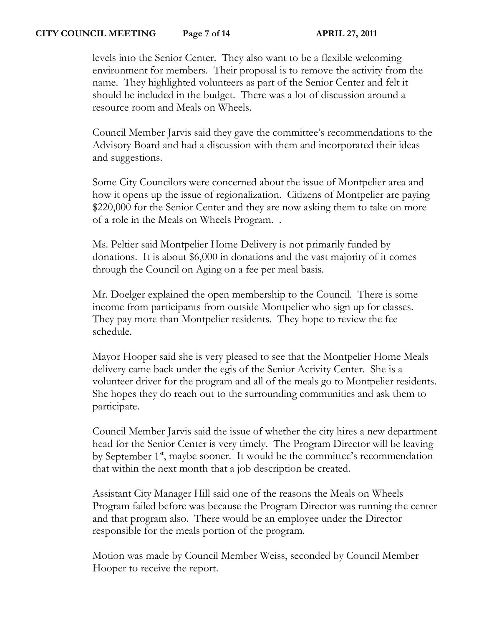levels into the Senior Center. They also want to be a flexible welcoming environment for members. Their proposal is to remove the activity from the name. They highlighted volunteers as part of the Senior Center and felt it should be included in the budget. There was a lot of discussion around a resource room and Meals on Wheels.

Council Member Jarvis said they gave the committee's recommendations to the Advisory Board and had a discussion with them and incorporated their ideas and suggestions.

Some City Councilors were concerned about the issue of Montpelier area and how it opens up the issue of regionalization. Citizens of Montpelier are paying \$220,000 for the Senior Center and they are now asking them to take on more of a role in the Meals on Wheels Program. .

Ms. Peltier said Montpelier Home Delivery is not primarily funded by donations. It is about \$6,000 in donations and the vast majority of it comes through the Council on Aging on a fee per meal basis.

Mr. Doelger explained the open membership to the Council. There is some income from participants from outside Montpelier who sign up for classes. They pay more than Montpelier residents. They hope to review the fee schedule.

Mayor Hooper said she is very pleased to see that the Montpelier Home Meals delivery came back under the egis of the Senior Activity Center. She is a volunteer driver for the program and all of the meals go to Montpelier residents. She hopes they do reach out to the surrounding communities and ask them to participate.

Council Member Jarvis said the issue of whether the city hires a new department head for the Senior Center is very timely. The Program Director will be leaving by September 1<sup>st</sup>, maybe sooner. It would be the committee's recommendation that within the next month that a job description be created.

Assistant City Manager Hill said one of the reasons the Meals on Wheels Program failed before was because the Program Director was running the center and that program also. There would be an employee under the Director responsible for the meals portion of the program.

Motion was made by Council Member Weiss, seconded by Council Member Hooper to receive the report.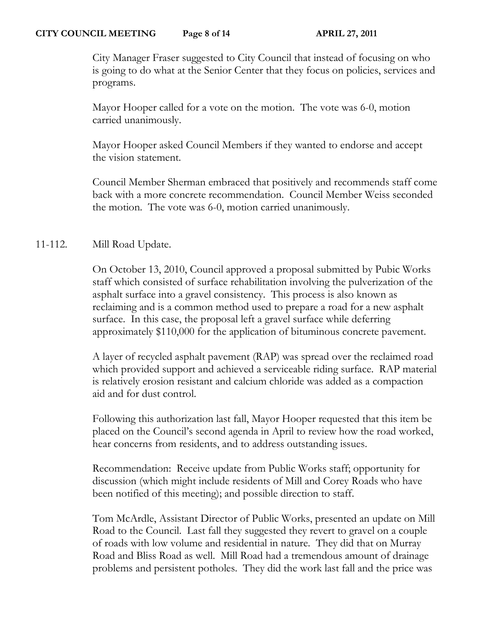City Manager Fraser suggested to City Council that instead of focusing on who is going to do what at the Senior Center that they focus on policies, services and programs.

Mayor Hooper called for a vote on the motion. The vote was 6-0, motion carried unanimously.

Mayor Hooper asked Council Members if they wanted to endorse and accept the vision statement.

Council Member Sherman embraced that positively and recommends staff come back with a more concrete recommendation. Council Member Weiss seconded the motion. The vote was 6-0, motion carried unanimously.

# 11-112. Mill Road Update.

On October 13, 2010, Council approved a proposal submitted by Pubic Works staff which consisted of surface rehabilitation involving the pulverization of the asphalt surface into a gravel consistency. This process is also known as reclaiming and is a common method used to prepare a road for a new asphalt surface. In this case, the proposal left a gravel surface while deferring approximately \$110,000 for the application of bituminous concrete pavement.

A layer of recycled asphalt pavement (RAP) was spread over the reclaimed road which provided support and achieved a serviceable riding surface. RAP material is relatively erosion resistant and calcium chloride was added as a compaction aid and for dust control.

Following this authorization last fall, Mayor Hooper requested that this item be placed on the Council's second agenda in April to review how the road worked, hear concerns from residents, and to address outstanding issues.

Recommendation: Receive update from Public Works staff; opportunity for discussion (which might include residents of Mill and Corey Roads who have been notified of this meeting); and possible direction to staff.

Tom McArdle, Assistant Director of Public Works, presented an update on Mill Road to the Council. Last fall they suggested they revert to gravel on a couple of roads with low volume and residential in nature. They did that on Murray Road and Bliss Road as well. Mill Road had a tremendous amount of drainage problems and persistent potholes. They did the work last fall and the price was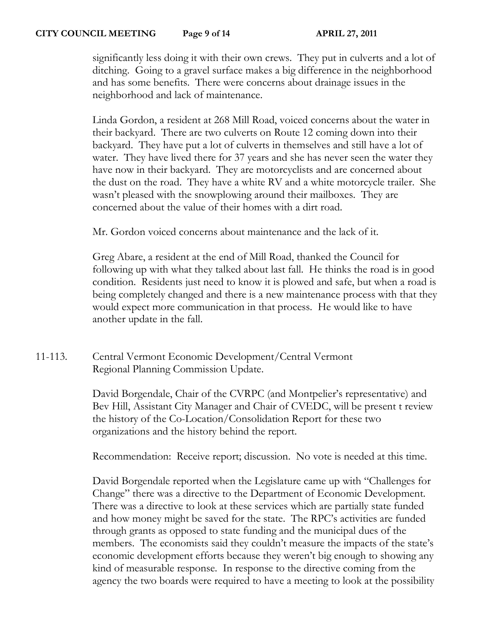significantly less doing it with their own crews. They put in culverts and a lot of ditching. Going to a gravel surface makes a big difference in the neighborhood and has some benefits. There were concerns about drainage issues in the neighborhood and lack of maintenance.

Linda Gordon, a resident at 268 Mill Road, voiced concerns about the water in their backyard. There are two culverts on Route 12 coming down into their backyard. They have put a lot of culverts in themselves and still have a lot of water. They have lived there for 37 years and she has never seen the water they have now in their backyard. They are motorcyclists and are concerned about the dust on the road. They have a white RV and a white motorcycle trailer. She wasn't pleased with the snowplowing around their mailboxes. They are concerned about the value of their homes with a dirt road.

Mr. Gordon voiced concerns about maintenance and the lack of it.

Greg Abare, a resident at the end of Mill Road, thanked the Council for following up with what they talked about last fall. He thinks the road is in good condition. Residents just need to know it is plowed and safe, but when a road is being completely changed and there is a new maintenance process with that they would expect more communication in that process. He would like to have another update in the fall.

11-113. Central Vermont Economic Development/Central Vermont Regional Planning Commission Update.

> David Borgendale, Chair of the CVRPC (and Montpelier's representative) and Bev Hill, Assistant City Manager and Chair of CVEDC, will be present t review the history of the Co-Location/Consolidation Report for these two organizations and the history behind the report.

Recommendation: Receive report; discussion. No vote is needed at this time.

David Borgendale reported when the Legislature came up with "Challenges for Change" there was a directive to the Department of Economic Development. There was a directive to look at these services which are partially state funded and how money might be saved for the state. The RPC's activities are funded through grants as opposed to state funding and the municipal dues of the members. The economists said they couldn't measure the impacts of the state's economic development efforts because they weren't big enough to showing any kind of measurable response. In response to the directive coming from the agency the two boards were required to have a meeting to look at the possibility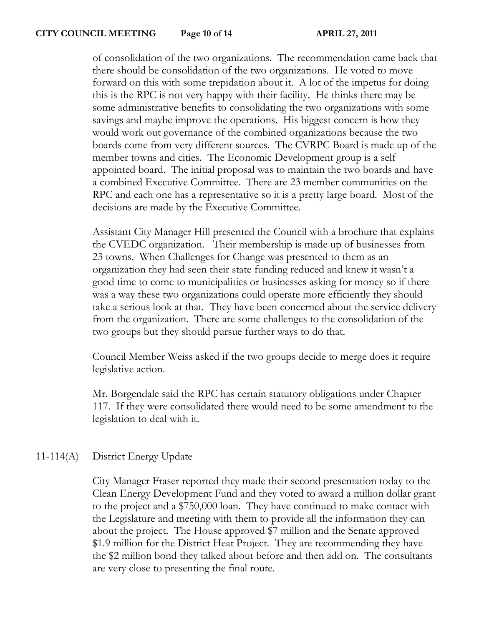of consolidation of the two organizations. The recommendation came back that there should be consolidation of the two organizations. He voted to move forward on this with some trepidation about it. A lot of the impetus for doing this is the RPC is not very happy with their facility. He thinks there may be some administrative benefits to consolidating the two organizations with some savings and maybe improve the operations. His biggest concern is how they would work out governance of the combined organizations because the two boards come from very different sources. The CVRPC Board is made up of the member towns and cities. The Economic Development group is a self appointed board. The initial proposal was to maintain the two boards and have a combined Executive Committee. There are 23 member communities on the RPC and each one has a representative so it is a pretty large board. Most of the decisions are made by the Executive Committee.

Assistant City Manager Hill presented the Council with a brochure that explains the CVEDC organization. Their membership is made up of businesses from 23 towns. When Challenges for Change was presented to them as an organization they had seen their state funding reduced and knew it wasn't a good time to come to municipalities or businesses asking for money so if there was a way these two organizations could operate more efficiently they should take a serious look at that. They have been concerned about the service delivery from the organization. There are some challenges to the consolidation of the two groups but they should pursue further ways to do that.

Council Member Weiss asked if the two groups decide to merge does it require legislative action.

Mr. Borgendale said the RPC has certain statutory obligations under Chapter 117. If they were consolidated there would need to be some amendment to the legislation to deal with it.

## 11-114(A) District Energy Update

City Manager Fraser reported they made their second presentation today to the Clean Energy Development Fund and they voted to award a million dollar grant to the project and a \$750,000 loan. They have continued to make contact with the Legislature and meeting with them to provide all the information they can about the project. The House approved \$7 million and the Senate approved \$1.9 million for the District Heat Project. They are recommending they have the \$2 million bond they talked about before and then add on. The consultants are very close to presenting the final route.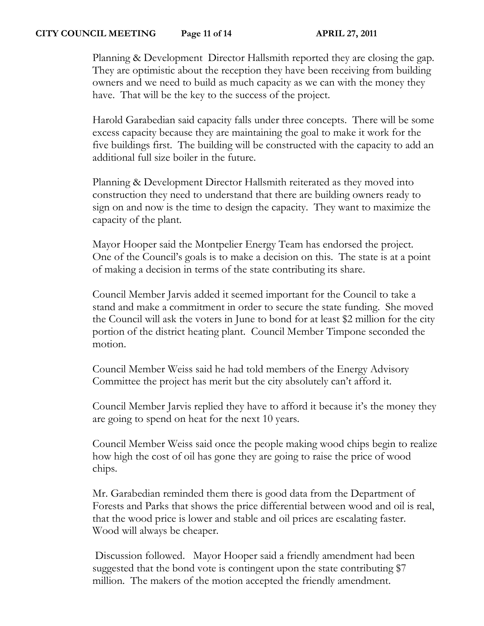### **CITY COUNCIL MEETING Page 11 of 14 APRIL 27, 2011**

Planning & Development Director Hallsmith reported they are closing the gap. They are optimistic about the reception they have been receiving from building owners and we need to build as much capacity as we can with the money they have. That will be the key to the success of the project.

Harold Garabedian said capacity falls under three concepts. There will be some excess capacity because they are maintaining the goal to make it work for the five buildings first. The building will be constructed with the capacity to add an additional full size boiler in the future.

Planning & Development Director Hallsmith reiterated as they moved into construction they need to understand that there are building owners ready to sign on and now is the time to design the capacity. They want to maximize the capacity of the plant.

Mayor Hooper said the Montpelier Energy Team has endorsed the project. One of the Council's goals is to make a decision on this. The state is at a point of making a decision in terms of the state contributing its share.

Council Member Jarvis added it seemed important for the Council to take a stand and make a commitment in order to secure the state funding. She moved the Council will ask the voters in June to bond for at least \$2 million for the city portion of the district heating plant. Council Member Timpone seconded the motion.

Council Member Weiss said he had told members of the Energy Advisory Committee the project has merit but the city absolutely can't afford it.

Council Member Jarvis replied they have to afford it because it's the money they are going to spend on heat for the next 10 years.

Council Member Weiss said once the people making wood chips begin to realize how high the cost of oil has gone they are going to raise the price of wood chips.

Mr. Garabedian reminded them there is good data from the Department of Forests and Parks that shows the price differential between wood and oil is real, that the wood price is lower and stable and oil prices are escalating faster. Wood will always be cheaper.

Discussion followed. Mayor Hooper said a friendly amendment had been suggested that the bond vote is contingent upon the state contributing \$7 million. The makers of the motion accepted the friendly amendment.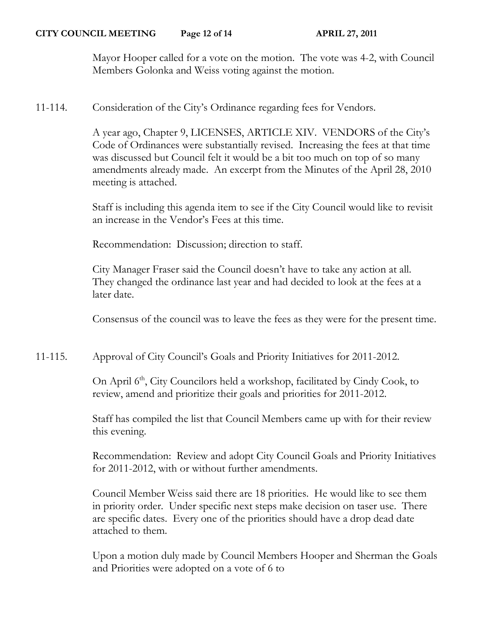Mayor Hooper called for a vote on the motion. The vote was 4-2, with Council Members Golonka and Weiss voting against the motion.

11-114. Consideration of the City's Ordinance regarding fees for Vendors.

A year ago, Chapter 9, LICENSES, ARTICLE XIV. VENDORS of the City's Code of Ordinances were substantially revised. Increasing the fees at that time was discussed but Council felt it would be a bit too much on top of so many amendments already made. An excerpt from the Minutes of the April 28, 2010 meeting is attached.

Staff is including this agenda item to see if the City Council would like to revisit an increase in the Vendor's Fees at this time.

Recommendation: Discussion; direction to staff.

City Manager Fraser said the Council doesn't have to take any action at all. They changed the ordinance last year and had decided to look at the fees at a later date.

Consensus of the council was to leave the fees as they were for the present time.

11-115. Approval of City Council's Goals and Priority Initiatives for 2011-2012.

On April 6<sup>th</sup>, City Councilors held a workshop, facilitated by Cindy Cook, to review, amend and prioritize their goals and priorities for 2011-2012.

Staff has compiled the list that Council Members came up with for their review this evening.

Recommendation: Review and adopt City Council Goals and Priority Initiatives for 2011-2012, with or without further amendments.

Council Member Weiss said there are 18 priorities. He would like to see them in priority order. Under specific next steps make decision on taser use. There are specific dates. Every one of the priorities should have a drop dead date attached to them.

Upon a motion duly made by Council Members Hooper and Sherman the Goals and Priorities were adopted on a vote of 6 to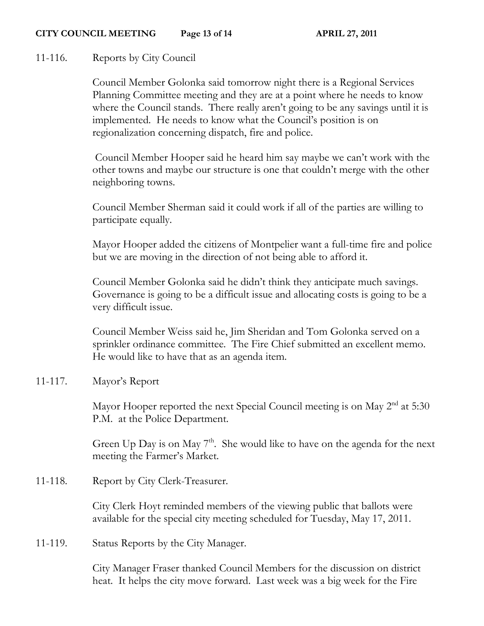#### **CITY COUNCIL MEETING Page 13 of 14 APRIL 27, 2011**

## 11-116. Reports by City Council

Council Member Golonka said tomorrow night there is a Regional Services Planning Committee meeting and they are at a point where he needs to know where the Council stands. There really aren't going to be any savings until it is implemented. He needs to know what the Council's position is on regionalization concerning dispatch, fire and police.

Council Member Hooper said he heard him say maybe we can't work with the other towns and maybe our structure is one that couldn't merge with the other neighboring towns.

Council Member Sherman said it could work if all of the parties are willing to participate equally.

Mayor Hooper added the citizens of Montpelier want a full-time fire and police but we are moving in the direction of not being able to afford it.

Council Member Golonka said he didn't think they anticipate much savings. Governance is going to be a difficult issue and allocating costs is going to be a very difficult issue.

Council Member Weiss said he, Jim Sheridan and Tom Golonka served on a sprinkler ordinance committee. The Fire Chief submitted an excellent memo. He would like to have that as an agenda item.

11-117. Mayor's Report

Mayor Hooper reported the next Special Council meeting is on May 2<sup>nd</sup> at 5:30 P.M. at the Police Department.

Green Up Day is on May  $7<sup>th</sup>$ . She would like to have on the agenda for the next meeting the Farmer's Market.

11-118. Report by City Clerk-Treasurer.

City Clerk Hoyt reminded members of the viewing public that ballots were available for the special city meeting scheduled for Tuesday, May 17, 2011.

11-119. Status Reports by the City Manager.

City Manager Fraser thanked Council Members for the discussion on district heat. It helps the city move forward. Last week was a big week for the Fire